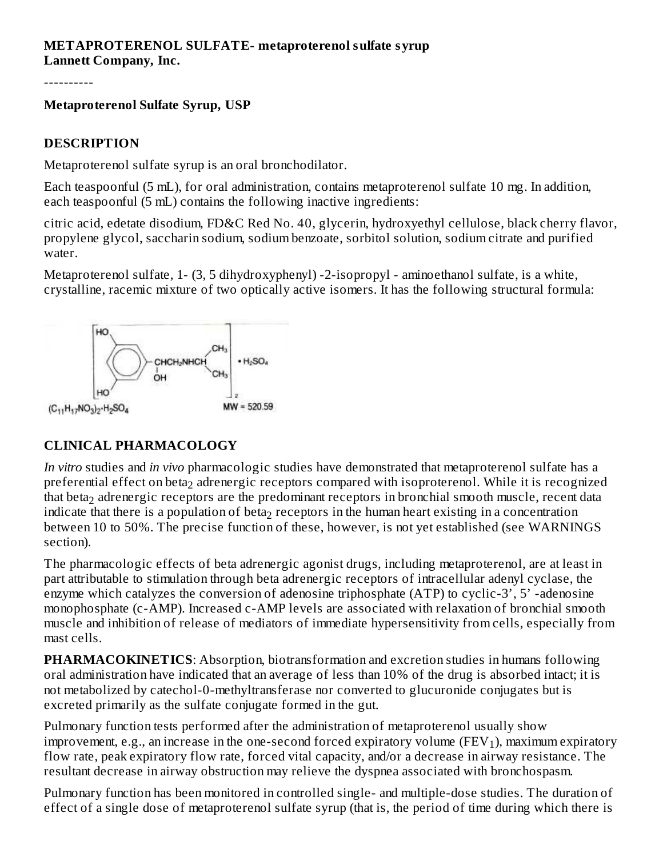#### **METAPROTERENOL SULFATE- metaproterenol sulfate syrup Lannett Company, Inc.**

----------

## **Metaproterenol Sulfate Syrup, USP**

#### **DESCRIPTION**

Metaproterenol sulfate syrup is an oral bronchodilator.

Each teaspoonful (5 mL), for oral administration, contains metaproterenol sulfate 10 mg. In addition, each teaspoonful (5 mL) contains the following inactive ingredients:

citric acid, edetate disodium, FD&C Red No. 40, glycerin, hydroxyethyl cellulose, black cherry flavor, propylene glycol, saccharin sodium, sodium benzoate, sorbitol solution, sodium citrate and purified water.

Metaproterenol sulfate, 1- (3, 5 dihydroxyphenyl) -2-isopropyl - aminoethanol sulfate, is a white, crystalline, racemic mixture of two optically active isomers. It has the following structural formula:



# **CLINICAL PHARMACOLOGY**

*In vitro* studies and *in vivo* pharmacologic studies have demonstrated that metaproterenol sulfate has a preferential effect on beta $_2$  adrenergic receptors compared with isoproterenol. While it is recognized that beta $_2$  adrenergic receptors are the predominant receptors in bronchial smooth muscle, recent data indicate that there is a population of beta $_2$  receptors in the human heart existing in a concentration between 10 to 50%. The precise function of these, however, is not yet established (see WARNINGS section).

The pharmacologic effects of beta adrenergic agonist drugs, including metaproterenol, are at least in part attributable to stimulation through beta adrenergic receptors of intracellular adenyl cyclase, the enzyme which catalyzes the conversion of adenosine triphosphate (ATP) to cyclic-3', 5' -adenosine monophosphate (c-AMP). Increased c-AMP levels are associated with relaxation of bronchial smooth muscle and inhibition of release of mediators of immediate hypersensitivity from cells, especially from mast cells.

**PHARMACOKINETICS:** Absorption, biotransformation and excretion studies in humans following oral administration have indicated that an average of less than 10% of the drug is absorbed intact; it is not metabolized by catechol-0-methyltransferase nor converted to glucuronide conjugates but is excreted primarily as the sulfate conjugate formed in the gut.

Pulmonary function tests performed after the administration of metaproterenol usually show improvement, e.g., an increase in the one-second forced expiratory volume (FEV $_1$ ), maximum expiratory flow rate, peak expiratory flow rate, forced vital capacity, and/or a decrease in airway resistance. The resultant decrease in airway obstruction may relieve the dyspnea associated with bronchospasm.

Pulmonary function has been monitored in controlled single- and multiple-dose studies. The duration of effect of a single dose of metaproterenol sulfate syrup (that is, the period of time during which there is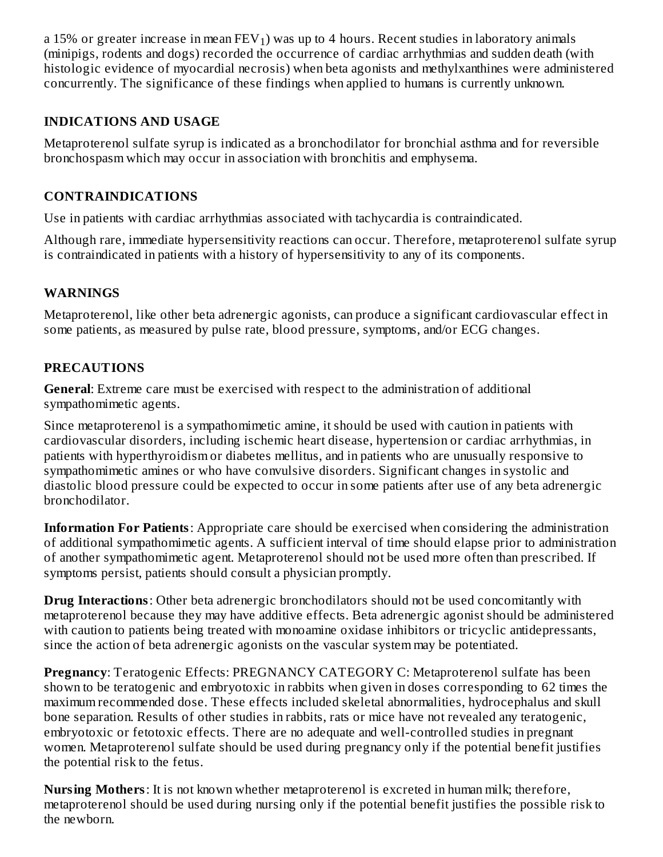a 15% or greater increase in mean  $\text{FEV}_1)$  was up to 4 hours. Recent studies in laboratory animals (minipigs, rodents and dogs) recorded the occurrence of cardiac arrhythmias and sudden death (with histologic evidence of myocardial necrosis) when beta agonists and methylxanthines were administered concurrently. The significance of these findings when applied to humans is currently unknown.

## **INDICATIONS AND USAGE**

Metaproterenol sulfate syrup is indicated as a bronchodilator for bronchial asthma and for reversible bronchospasm which may occur in association with bronchitis and emphysema.

## **CONTRAINDICATIONS**

Use in patients with cardiac arrhythmias associated with tachycardia is contraindicated.

Although rare, immediate hypersensitivity reactions can occur. Therefore, metaproterenol sulfate syrup is contraindicated in patients with a history of hypersensitivity to any of its components.

## **WARNINGS**

Metaproterenol, like other beta adrenergic agonists, can produce a significant cardiovascular effect in some patients, as measured by pulse rate, blood pressure, symptoms, and/or ECG changes.

## **PRECAUTIONS**

**General**: Extreme care must be exercised with respect to the administration of additional sympathomimetic agents.

Since metaproterenol is a sympathomimetic amine, it should be used with caution in patients with cardiovascular disorders, including ischemic heart disease, hypertension or cardiac arrhythmias, in patients with hyperthyroidism or diabetes mellitus, and in patients who are unusually responsive to sympathomimetic amines or who have convulsive disorders. Significant changes in systolic and diastolic blood pressure could be expected to occur in some patients after use of any beta adrenergic bronchodilator.

**Information For Patients**: Appropriate care should be exercised when considering the administration of additional sympathomimetic agents. A sufficient interval of time should elapse prior to administration of another sympathomimetic agent. Metaproterenol should not be used more often than prescribed. If symptoms persist, patients should consult a physician promptly.

**Drug Interactions**: Other beta adrenergic bronchodilators should not be used concomitantly with metaproterenol because they may have additive effects. Beta adrenergic agonist should be administered with caution to patients being treated with monoamine oxidase inhibitors or tricyclic antidepressants, since the action of beta adrenergic agonists on the vascular system may be potentiated.

**Pregnancy**: Teratogenic Effects: PREGNANCY CATEGORY C: Metaproterenol sulfate has been shown to be teratogenic and embryotoxic in rabbits when given in doses corresponding to 62 times the maximum recommended dose. These effects included skeletal abnormalities, hydrocephalus and skull bone separation. Results of other studies in rabbits, rats or mice have not revealed any teratogenic, embryotoxic or fetotoxic effects. There are no adequate and well-controlled studies in pregnant women. Metaproterenol sulfate should be used during pregnancy only if the potential benefit justifies the potential risk to the fetus.

**Nursing Mothers**: It is not known whether metaproterenol is excreted in human milk; therefore, metaproterenol should be used during nursing only if the potential benefit justifies the possible risk to the newborn.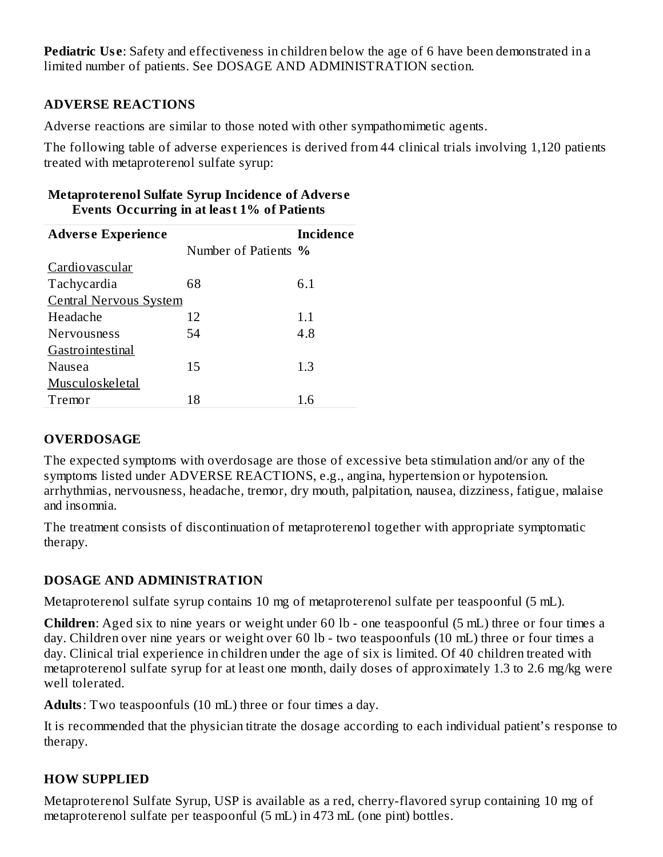**Pediatric Use:** Safety and effectiveness in children below the age of 6 have been demonstrated in a limited number of patients. See DOSAGE AND ADMINISTRATION section.

## **ADVERSE REACTIONS**

Adverse reactions are similar to those noted with other sympathomimetic agents.

The following table of adverse experiences is derived from 44 clinical trials involving 1,120 patients treated with metaproterenol sulfate syrup:

#### **Metaproterenol Sulfate Syrup Incidence of Advers e Events Occurring in at least 1% of Patients**

| <b>Adverse Experience</b>     |                      | <b>Incidence</b> |
|-------------------------------|----------------------|------------------|
|                               | Number of Patients % |                  |
| Cardiovascular                |                      |                  |
| Tachycardia                   | 68                   | 6.1              |
| <b>Central Nervous System</b> |                      |                  |
| Headache                      | 12                   | 1.1              |
| <b>Nervousness</b>            | 54                   | 4.8              |
| Gastrointestinal              |                      |                  |
| Nausea                        | 15                   | 1.3              |
| Musculoskeletal               |                      |                  |
| Tremor                        | 18                   | 1.6              |

# **OVERDOSAGE**

The expected symptoms with overdosage are those of excessive beta stimulation and/or any of the symptoms listed under ADVERSE REACTIONS, e.g., angina, hypertension or hypotension. arrhythmias, nervousness, headache, tremor, dry mouth, palpitation, nausea, dizziness, fatigue, malaise and insomnia.

The treatment consists of discontinuation of metaproterenol together with appropriate symptomatic therapy.

# **DOSAGE AND ADMINISTRATION**

Metaproterenol sulfate syrup contains 10 mg of metaproterenol sulfate per teaspoonful (5 mL).

**Children**: Aged six to nine years or weight under 60 lb - one teaspoonful (5 mL) three or four times a day. Children over nine years or weight over 60 lb - two teaspoonfuls (10 mL) three or four times a day. Clinical trial experience in children under the age of six is limited. Of 40 children treated with metaproterenol sulfate syrup for at least one month, daily doses of approximately 1.3 to 2.6 mg/kg were well tolerated.

**Adults**: Two teaspoonfuls (10 mL) three or four times a day.

It is recommended that the physician titrate the dosage according to each individual patient's response to therapy.

# **HOW SUPPLIED**

Metaproterenol Sulfate Syrup, USP is available as a red, cherry-flavored syrup containing 10 mg of metaproterenol sulfate per teaspoonful (5 mL) in 473 mL (one pint) bottles.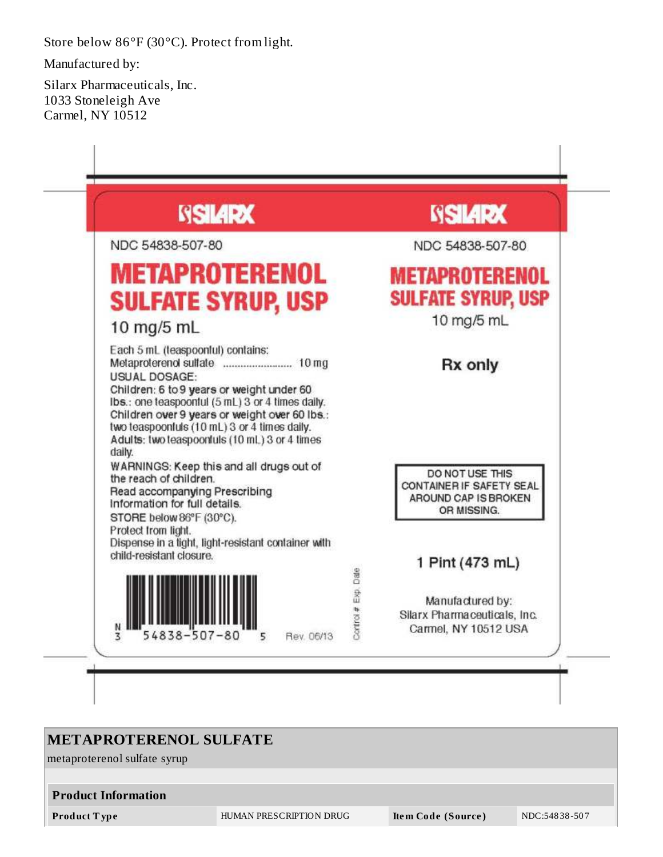Store below 86°F (30°C). Protect from light.

Manufactured by:

Silarx Pharmaceuticals, Inc. 1033 Stoneleigh Ave Carmel, NY 10512



# **METAPROTERENOL SULFATE**

metaproterenol sulfate syrup

#### **Product Information**

**Product T ype** HUMAN PRESCRIPTION DRUG **Ite m Code (Source )** NDC:548 38 -50 7